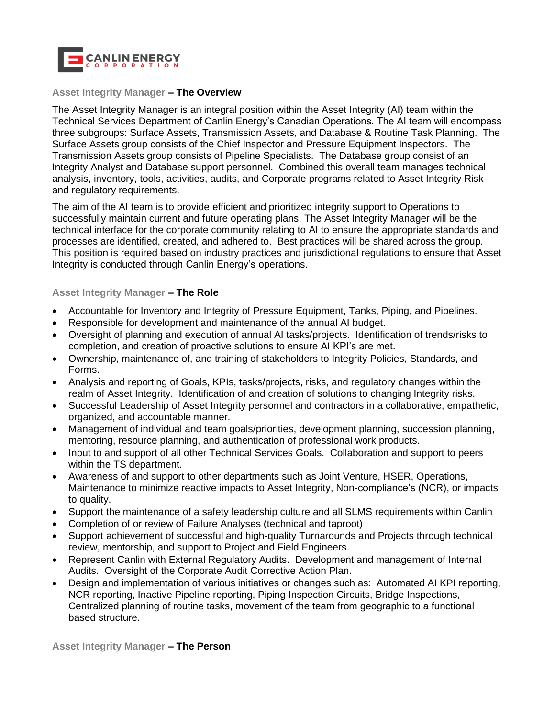

## **Asset Integrity Manager – The Overview**

The Asset Integrity Manager is an integral position within the Asset Integrity (AI) team within the Technical Services Department of Canlin Energy's Canadian Operations. The AI team will encompass three subgroups: Surface Assets, Transmission Assets, and Database & Routine Task Planning. The Surface Assets group consists of the Chief Inspector and Pressure Equipment Inspectors. The Transmission Assets group consists of Pipeline Specialists. The Database group consist of an Integrity Analyst and Database support personnel. Combined this overall team manages technical analysis, inventory, tools, activities, audits, and Corporate programs related to Asset Integrity Risk and regulatory requirements.

The aim of the AI team is to provide efficient and prioritized integrity support to Operations to successfully maintain current and future operating plans. The Asset Integrity Manager will be the technical interface for the corporate community relating to AI to ensure the appropriate standards and processes are identified, created, and adhered to. Best practices will be shared across the group. This position is required based on industry practices and jurisdictional regulations to ensure that Asset Integrity is conducted through Canlin Energy's operations.

## **Asset Integrity Manager – The Role**

- Accountable for Inventory and Integrity of Pressure Equipment, Tanks, Piping, and Pipelines.
- Responsible for development and maintenance of the annual AI budget.
- Oversight of planning and execution of annual AI tasks/projects. Identification of trends/risks to completion, and creation of proactive solutions to ensure AI KPI's are met.
- Ownership, maintenance of, and training of stakeholders to Integrity Policies, Standards, and Forms.
- Analysis and reporting of Goals, KPIs, tasks/projects, risks, and regulatory changes within the realm of Asset Integrity. Identification of and creation of solutions to changing Integrity risks.
- Successful Leadership of Asset Integrity personnel and contractors in a collaborative, empathetic, organized, and accountable manner.
- Management of individual and team goals/priorities, development planning, succession planning, mentoring, resource planning, and authentication of professional work products.
- Input to and support of all other Technical Services Goals. Collaboration and support to peers within the TS department.
- Awareness of and support to other departments such as Joint Venture, HSER, Operations, Maintenance to minimize reactive impacts to Asset Integrity, Non-compliance's (NCR), or impacts to quality.
- Support the maintenance of a safety leadership culture and all SLMS requirements within Canlin
- Completion of or review of Failure Analyses (technical and taproot)
- Support achievement of successful and high-quality Turnarounds and Projects through technical review, mentorship, and support to Project and Field Engineers.
- Represent Canlin with External Regulatory Audits. Development and management of Internal Audits. Oversight of the Corporate Audit Corrective Action Plan.
- Design and implementation of various initiatives or changes such as: Automated AI KPI reporting, NCR reporting, Inactive Pipeline reporting, Piping Inspection Circuits, Bridge Inspections, Centralized planning of routine tasks, movement of the team from geographic to a functional based structure.

**Asset Integrity Manager – The Person**